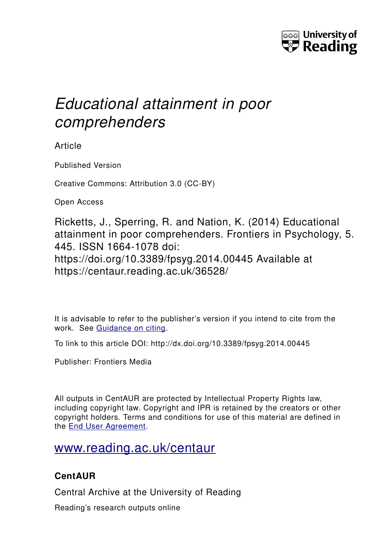

# *Educational attainment in poor comprehenders*

Article

Published Version

Creative Commons: Attribution 3.0 (CC-BY)

Open Access

Ricketts, J., Sperring, R. and Nation, K. (2014) Educational attainment in poor comprehenders. Frontiers in Psychology, 5. 445. ISSN 1664-1078 doi: https://doi.org/10.3389/fpsyg.2014.00445 Available at https://centaur.reading.ac.uk/36528/

It is advisable to refer to the publisher's version if you intend to cite from the work. See [Guidance on citing.](http://centaur.reading.ac.uk/71187/10/CentAUR%20citing%20guide.pdf)

To link to this article DOI: http://dx.doi.org/10.3389/fpsyg.2014.00445

Publisher: Frontiers Media

All outputs in CentAUR are protected by Intellectual Property Rights law, including copyright law. Copyright and IPR is retained by the creators or other copyright holders. Terms and conditions for use of this material are defined in the [End User Agreement.](http://centaur.reading.ac.uk/licence)

# [www.reading.ac.uk/centaur](http://www.reading.ac.uk/centaur)

### **CentAUR**

Central Archive at the University of Reading

Reading's research outputs online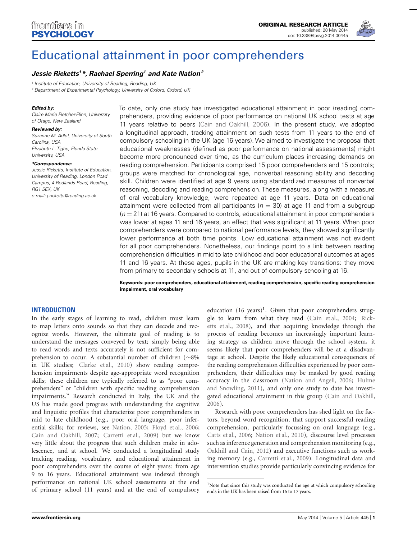

## [Educational attainment in poor comprehenders](http://www.frontiersin.org/Journal/10.3389/fpsyg.2014.00445/abstract)

#### *[Jessie Ricketts1](http://community.frontiersin.org/people/u/94440)\*, [Rachael Sperring1](http://community.frontiersin.org/people/u/134593) and [Kate Nation](http://community.frontiersin.org/people/u/158419)2*

<sup>1</sup> Institute of Education, University of Reading, Reading, UK

<sup>2</sup> Department of Experimental Psychology, University of Oxford, Oxford, UK

#### *Edited by:*

Claire Marie Fletcher-Flinn, University of Otago, New Zealand

#### *Reviewed by:*

Suzanne M. Adlof, University of South Carolina, USA Elizabeth L. Tighe, Florida State University, USA

*\*Correspondence:* Jessie Ricketts, Institute of Education, University of Reading, London Road Campus, 4 Redlands Road, Reading, RG1 5EX, UK

e-mail: [j.ricketts@reading.ac.uk](mailto:j.ricketts@reading.ac.uk)

To date, only one study has investigated educational attainment in poor (reading) comprehenders, providing evidence of poor performance on national UK school tests at age 11 years relative to peers [\(Cain and Oakhill](#page-10-0), [2006\)](#page-10-0). In the present study, we adopted a longitudinal approach, tracking attainment on such tests from 11 years to the end of compulsory schooling in the UK (age 16 years). We aimed to investigate the proposal that educational weaknesses (defined as poor performance on national assessments) might become more pronounced over time, as the curriculum places increasing demands on reading comprehension. Participants comprised 15 poor comprehenders and 15 controls; groups were matched for chronological age, nonverbal reasoning ability and decoding skill. Children were identified at age 9 years using standardized measures of nonverbal reasoning, decoding and reading comprehension. These measures, along with a measure of oral vocabulary knowledge, were repeated at age 11 years. Data on educational attainment were collected from all participants ( $n = 30$ ) at age 11 and from a subgroup  $(n = 21)$  at 16 years. Compared to controls, educational attainment in poor comprehenders was lower at ages 11 and 16 years, an effect that was significant at 11 years. When poor comprehenders were compared to national performance levels, they showed significantly lower performance at both time points. Low educational attainment was not evident for all poor comprehenders. Nonetheless, our findings point to a link between reading comprehension difficulties in mid to late childhood and poor educational outcomes at ages 11 and 16 years. At these ages, pupils in the UK are making key transitions: they move from primary to secondary schools at 11, and out of compulsory schooling at 16.

**Keywords: poor comprehenders, educational attainment, reading comprehension, specific reading comprehension impairment, oral vocabulary**

#### **INTRODUCTION**

In the early stages of learning to read, children must learn to map letters onto sounds so that they can decode and recognize words. However, the ultimate goal of reading is to understand the messages conveyed by text; simply being able to read words and texts accurately is not sufficient for comprehension to occur. A substantial number of children (∼8% in UK studies; [Clarke et al.](#page-10-0), [2010\)](#page-10-0) show reading comprehension impairments despite age-appropriate word recognition skills; these children are typically referred to as "poor comprehenders" or "children with specific reading comprehension impairments." Research conducted in Italy, the UK and the US has made good progress with understanding the cognitive and linguistic profiles that characterize poor comprehenders in mid to late childhood (e.g., poor oral language, poor inferential skills; for reviews, see [Nation](#page-11-0), [2005;](#page-11-0) [Floyd et al.](#page-10-0), [2006;](#page-10-0) [Cain and Oakhill](#page-10-0), [2007;](#page-10-0) [Carretti et al.](#page-10-0), [2009](#page-10-0)) but we know very little about the progress that such children make in adolescence, and at school. We conducted a longitudinal study tracking reading, vocabulary, and educational attainment in poor comprehenders over the course of eight years: from age 9 to 16 years. Educational attainment was indexed through performance on national UK school assessments at the end of primary school (11 years) and at the end of compulsory education  $(16 \text{ years})^1$ . Given that poor comprehenders struggle to l[earn](#page-11-0) [from](#page-11-0) [what](#page-11-0) [they](#page-11-0) [read](#page-11-0) [\(Cain et al.](#page-10-0)[,](#page-11-0) [2004](#page-10-0)[;](#page-11-0) Ricketts et al., [2008](#page-11-0)), and that acquiring knowledge through the process of reading becomes an increasingly important learning strategy as children move through the school system, it seems likely that poor comprehenders will be at a disadvantage at school. Despite the likely educational consequences of the reading comprehension difficulties experienced by poor comprehenders, their difficulties may be masked by good reading accuracy in t[he classroom](#page-10-0) [\(Nation and Angell, 2006;](#page-11-0) Hulme and Snowling, [2011](#page-10-0)), and only one study to date has investigated educational attainment in this group [\(Cain and Oakhill,](#page-10-0) [2006](#page-10-0)).

Research with poor comprehenders has shed light on the factors, beyond word recognition, that support successful reading comprehension, particularly focussing on oral language (e.g., [Catts et al., 2006;](#page-10-0) [Nation et al.](#page-11-0), [2010](#page-11-0)), discourse level processes such as inference generation and comprehension monitoring (e.g., [Oakhill and Cain](#page-11-0), [2012\)](#page-11-0) and executive functions such as working memory (e.g., [Carretti et al., 2009\)](#page-10-0). Longitudinal data and intervention studies provide particularly convincing evidence for

<sup>&</sup>lt;sup>1</sup>Note that since this study was conducted the age at which compulsory schooling ends in the UK has been raised from 16 to 17 years.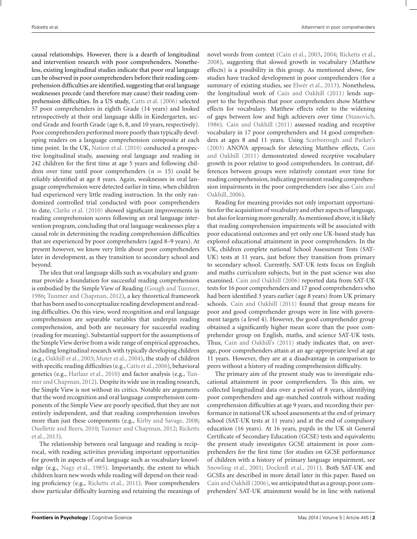causal relationships. However, there is a dearth of longitudinal and intervention research with poor comprehenders. Nonetheless, existing longitudinal studies indicate that poor oral language can be observed in poor comprehenders before their reading comprehension difficulties are identified, suggesting that oral language weaknesses precede (and therefore may cause) their reading comprehension difficulties. In a US study, [Catts et al.](#page-10-0) [\(2006](#page-10-0)) selected 57 poor comprehenders in eighth Grade (14 years) and looked retrospectively at their oral language skills in Kindergarten, second Grade and fourth Grade (age 6, 8, and 10 years, respectively). Poor comprehenders performed more poorly than typically developing readers on a language comprehension composite at each time point. In the UK, [Nation et al.](#page-11-0) [\(2010\)](#page-11-0) conducted a prospective longitudinal study, assessing oral language and reading in 242 children for the first time at age 5 years and following children over time until poor comprehenders ( $n = 15$ ) could be reliably identified at age 8 years. Again, weaknesses in oral language comprehension were detected earlier in time, when children had experienced very little reading instruction. In the only randomized controlled trial conducted with poor comprehenders to date, [Clarke et al.](#page-10-0) [\(2010\)](#page-10-0) showed significant improvements in reading comprehension scores following an oral language intervention program, concluding that oral language weaknesses play a causal role in determining the reading comprehension difficulties that are experienced by poor comprehenders (aged 8–9 years). At present however, we know very little about poor comprehenders later in development, as they transition to secondary school and beyond.

The idea that oral language skills such as vocabulary and grammar provide a foundation for successful reading comprehension is embodied by the Simple View of Reading [\(Gough and Tunmer,](#page-10-0) [1986;](#page-10-0) [Tunmer and Chapman](#page-11-0), [2012\)](#page-11-0), a key theoretical framework that has been used to conceptualize reading development and reading difficulties. On this view, word recognition and oral language comprehension are separable variables that underpin reading comprehension, and both are necessary for successful reading (reading for meaning). Substantial support for the assumptions of the Simple View derive from a wide range of empirical approaches, including longitudinal research with typically developing children (e.g., [Oakhill et al., 2003;](#page-11-0) [Muter et al.](#page-11-0), [2004\)](#page-11-0), the study of children with specific reading difficulties (e.g., [Catts et al.](#page-10-0), [2006\)](#page-10-0), behavioral genetics (e.g., [Harlaar et al.](#page-10-0)[,](#page-11-0) [2010](#page-10-0)[\)](#page-11-0) [and](#page-11-0) [factor](#page-11-0) [analysis](#page-11-0) [\(e.g.,](#page-11-0) Tunmer and Chapman, [2012](#page-11-0)). Despite its wide use in reading research, the Simple View is not without its critics. Notable are arguments that the word recognition and oral language comprehension components of the Simple View are poorly specified, that they are not entirely independent, and that reading comprehension involves more than just these components (e.g., [Kirby and Savage, 2008;](#page-11-0) [Ouellette and Beers, 2010](#page-11-0); [Tunmer and Chapman, 2012;](#page-11-0) Ricketts et al., [2013\)](#page-11-0).

The relationship between oral language and reading is reciprocal, with reading activities providing important opportunities for growth in aspects of oral language such as vocabulary knowledge (e.g., [Nagy et al.](#page-11-0), [1985](#page-11-0)). Importantly, the extent to which children learn new words while reading will depend on their reading proficiency (e.g., [Ricketts et al., 2011](#page-11-0)). Poor comprehenders show particular difficulty learning and retaining the meanings of novel words from context [\(Cain et al.](#page-10-0), [2003](#page-10-0), [2004](#page-10-0); [Ricketts et al.,](#page-11-0) [2008](#page-11-0)), suggesting that slowed growth in vocabulary (Matthew effects) is a possibility in this group. As mentioned above, few studies have tracked development in poor comprehenders (for a summary of existing studies, see [Elwér et al., 2013](#page-10-0)). Nonetheless, the longitudinal work of [Cain and Oakhill](#page-10-0) [\(2011](#page-10-0)) lends support to the hypothesis that poor comprehenders show Matthew effects for vocabulary. Matthew effects refer to the widening of gaps between low and high achievers over time [\(Stanovich,](#page-11-0) [1986](#page-11-0)). [Cain and Oakhill](#page-10-0) [\(2011\)](#page-10-0) assessed reading and receptive vocabulary in 17 poor comprehenders and 14 good comprehenders at ages 8 and 11 years. Using [Scarborough and Parker'](#page-11-0)s [\(2003\)](#page-11-0) AN[OVA approach for detecting Matthew effects,](#page-10-0) Cain and Oakhill [\(2011\)](#page-10-0) demonstrated slowed receptive vocabulary growth in poor relative to good comprehenders. In contrast, differences between groups were relatively constant over time for reading comprehension, indicating persistent reading comprehension i[mpairments](#page-10-0) [in](#page-10-0) [the](#page-10-0) [poor](#page-10-0) [comprehenders](#page-10-0) [\(see](#page-10-0) [also](#page-10-0) Cain and Oakhill, [2006\)](#page-10-0).

Reading for meaning provides not only important opportunities for the acquisition of vocabulary and other aspects of language, but alsofor learning more generally. As mentioned above, it is likely that reading comprehension impairments will be associated with poor educational outcomes and yet only one UK-based study has explored educational attainment in poor comprehenders. In the UK, children complete national School Assessment Tests (SAT-UK) tests at 11 years, just before they transition from primary to secondary school. Currently, SAT-UK tests focus on English and maths curriculum subjects, but in the past science was also examined. [Cain and Oakhill](#page-10-0) [\(2006](#page-10-0)) reported data from SAT-UK tests for 16 poor comprehenders and 17 good comprehenders who had been identified 3 years earlier (age 8 years) from UK primary schools. [Cain and Oakhill](#page-10-0) [\(2011](#page-10-0)) found that group means for poor and good comprehender groups were in line with government targets (a level 4). However, the good comprehender group obtained a significantly higher mean score than the poor comprehender group on English, maths, and science SAT-UK tests. Thus, [Cain and Oakhill'](#page-10-0)s [\(2011](#page-10-0)) study indicates that, on average, poor comprehenders attain at an age-appropriate level at age 11 years. However, they are at a disadvantage in comparison to peers without a history of reading comprehension difficulty.

The primary aim of the present study was to investigate educational attainment in poor comprehenders. To this aim, we collected longitudinal data over a period of 8 years, identifying poor comprehenders and age-matched controls without reading comprehension difficulties at age 9 years, and recording their performance in national UK school assessments at the end of primary school (SAT-UK tests at 11 years) and at the end of compulsory education (16 years). At 16 years, pupils in the UK sit General Certificate of Secondary Education (GCSE) tests and equivalents; the present study investigates GCSE attainment in poor comprehenders for the first time (for studies on GCSE performance of children with a history of primary language impairment, see [Snowling et al., 2001](#page-11-0); [Dockrell et al., 2011\)](#page-10-0). Both SAT-UK and GCSEs are described in more detail later in this paper. Based on [Cain and Oakhill](#page-10-0) [\(2006](#page-10-0)), we anticipated that as a group, poor comprehenders' SAT-UK attainment would be in line with national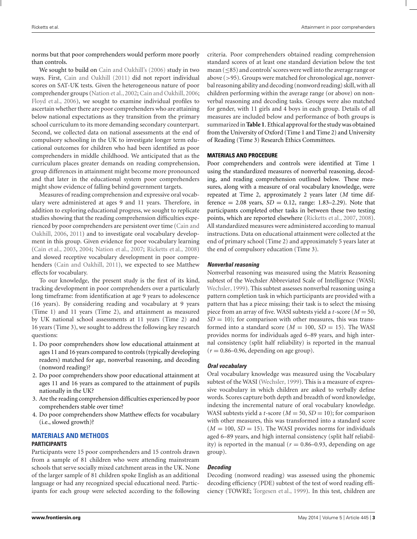norms but that poor comprehenders would perform more poorly than controls.

We sought to build on [Cain and Oakhill'](#page-10-0)s [\(2006\)](#page-10-0) study in two ways. First, [Cain and Oakhill](#page-10-0) [\(2011](#page-10-0)) did not report individual scores on SAT-UK tests. Given the heterogeneous nature of poor comprehender groups [\(Nation et al., 2002](#page-11-0); [Cain and Oakhill](#page-10-0), [2006;](#page-10-0) [Floyd et al.](#page-10-0), [2006\)](#page-10-0), we sought to examine individual profiles to ascertain whether there are poor comprehenders who are attaining below national expectations as they transition from the primary school curriculum to its more demanding secondary counterpart. Second, we collected data on national assessments at the end of compulsory schooling in the UK to investigate longer term educational outcomes for children who had been identified as poor comprehenders in middle childhood. We anticipated that as the curriculum places greater demands on reading comprehension, group differences in attainment might become more pronounced and that later in the educational system poor comprehenders might show evidence of falling behind government targets.

Measures of reading comprehension and expressive oral vocabulary were administered at ages 9 and 11 years. Therefore, in addition to exploring educational progress, we sought to replicate studies showing that the reading comprehension difficulties experienced [by poor comprehenders are persistent over time \(](#page-10-0)Cain and Oakhill, [2006,](#page-10-0) [2011\)](#page-10-0) and to investigate oral vocabulary development in this group. Given evidence for poor vocabulary learning [\(Cain et al.](#page-10-0), [2003](#page-10-0), [2004;](#page-10-0) [Nation et al.](#page-11-0), [2007](#page-11-0); [Ricketts et al.](#page-11-0), [2008](#page-11-0)) and slowed receptive vocabulary development in poor comprehenders [\(Cain and Oakhill](#page-10-0), [2011\)](#page-10-0), we expected to see Matthew effects for vocabulary.

To our knowledge, the present study is the first of its kind, tracking development in poor comprehenders over a particularly long timeframe: from identification at age 9 years to adolescence (16 years). By considering reading and vocabulary at 9 years (Time 1) and 11 years (Time 2), and attainment as measured by UK national school assessments at 11 years (Time 2) and 16 years (Time 3), we sought to address the following key research questions:

- 1. Do poor comprehenders show low educational attainment at ages 11 and 16 years compared to controls (typically developing readers) matched for age, nonverbal reasoning, and decoding (nonword reading)?
- 2. Do poor comprehenders show poor educational attainment at ages 11 and 16 years as compared to the attainment of pupils nationally in the UK?
- 3. Are the reading comprehension difficulties experienced by poor comprehenders stable over time?
- 4. Do poor comprehenders show Matthew effects for vocabulary (i.e., slowed growth)?

#### **MATERIALS AND METHODS PARTICIPANTS**

Participants were 15 poor comprehenders and 15 controls drawn from a sample of 81 children who were attending mainstream schools that serve socially mixed catchment areas in the UK. None of the larger sample of 81 children spoke English as an additional language or had any recognized special educational need. Participants for each group were selected according to the following criteria. Poor comprehenders obtained reading comprehension standard scores of at least one standard deviation below the test mean (≤85) and controls' scores were well into the average range or above (>95). Groups were matched for chronological age, nonverbal reasoning ability and decoding (nonword reading) skill, with all children performing within the average range (or above) on nonverbal reasoning and decoding tasks. Groups were also matched for gender, with 11 girls and 4 boys in each group. Details of all measures are included below and performance of both groups is summarized in [Table 1](#page-4-0). Ethical approval for the study was obtained from the University of Oxford (Time 1 and Time 2) and University of Reading (Time 3) Research Ethics Committees.

#### **MATERIALS AND PROCEDURE**

Poor comprehenders and controls were identified at Time 1 using the standardized measures of nonverbal reasoning, decoding, and reading comprehension outlined below. These measures, along with a measure of oral vocabulary knowledge, were repeated at Time 2, approximately 2 years later (*M* time difference = 2.08 years,  $SD = 0.12$ , range: 1.83–2.29). Note that participants completed other tasks in between these two testing points, which are reported elsewhere [\(Ricketts et al., 2007](#page-11-0), [2008](#page-11-0)). All standardized measures were administered according to manual instructions. Data on educational attainment were collected at the end of primary school (Time 2) and approximately 5 years later at the end of compulsory education (Time 3).

#### *Nonverbal reasoning*

Nonverbal reasoning was measured using the Matrix Reasoning subtest of the Wechsler Abbreviated Scale of Intelligence (WASI; [Wechsler](#page-11-0), [1999](#page-11-0)). This subtest assesses nonverbal reasoning using a pattern completion task in which participants are provided with a pattern that has a piece missing; their task is to select the missing piece from an array of five. WASI subtests yield a *t*-score (*M* = 50,  $SD = 10$ ; for comparison with other measures, this was transformed into a standard score ( $M = 100$ ,  $SD = 15$ ). The WASI provides norms for individuals aged 6–89 years, and high internal consistency (split half reliability) is reported in the manual  $(r = 0.86 - 0.96,$  depending on age group).

#### *Oral vocabulary*

Oral vocabulary knowledge was measured using the Vocabulary subtest of the WASI [\(Wechsler](#page-11-0), [1999\)](#page-11-0). This is a measure of expressive vocabulary in which children are asked to verbally define words. Scores capture both depth and breadth of word knowledge, indexing the incremental nature of oral vocabulary knowledge. WASI subtests yield a *t*-score ( $M = 50$ ,  $SD = 10$ ); for comparison with other measures, this was transformed into a standard score  $(M = 100, SD = 15)$ . The WASI provides norms for individuals aged 6–89 years, and high internal consistency (split half reliability) is reported in the manual ( $r = 0.86{\text -}0.93$ , depending on age group).

#### *Decoding*

Decoding (nonword reading) was assessed using the phonemic decoding efficiency (PDE) subtest of the test of word reading efficiency (TOWRE; [Torgesen et al.](#page-11-0), [1999](#page-11-0)). In this test, children are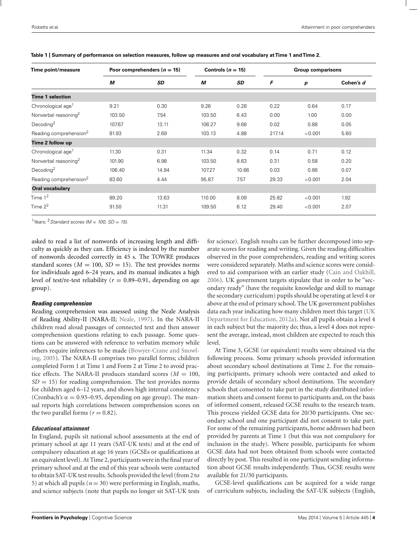| Time point/measure                 | Poor comprehenders ( $n = 15$ ) |       | Controls ( $n = 15$ ) |           | <b>Group comparisons</b> |                  |           |
|------------------------------------|---------------------------------|-------|-----------------------|-----------|--------------------------|------------------|-----------|
|                                    | M                               | SD    | M                     | <b>SD</b> | F                        | $\boldsymbol{p}$ | Cohen's d |
| <b>Time 1 selection</b>            |                                 |       |                       |           |                          |                  |           |
| Chronological age <sup>1</sup>     | 9.21                            | 0.30  | 9.26                  | 0.28      | 0.22                     | 0.64             | 0.17      |
| Nonverbal reasoning <sup>2</sup>   | 103.50                          | 7.54  | 103.50                | 6.43      | 0.00                     | 1.00             | 0.00      |
| Decoding <sup>2</sup>              | 107.67                          | 13.11 | 108.27                | 9.68      | 0.02                     | 0.88             | 0.05      |
| Reading comprehension <sup>2</sup> | 81.93                           | 2.69  | 103.13                | 4.88      | 217.14                   | < 0.001          | 5.60      |
| Time 2 follow up                   |                                 |       |                       |           |                          |                  |           |
| Chronological age <sup>1</sup>     | 11.30                           | 0.31  | 11.34                 | 0.32      | 0.14                     | 0.71             | 0.12      |
| Nonverbal reasoning <sup>2</sup>   | 101.90                          | 6.98  | 103.50                | 8.63      | 0.31                     | 0.58             | 0.20      |
| Decoding <sup>2</sup>              | 106.40                          | 14.94 | 107.27                | 10.66     | 0.03                     | 0.86             | 0.07      |
| Reading comprehension <sup>2</sup> | 83.60                           | 4.44  | 95.87                 | 7.57      | 29.33                    | < 0.001          | 2.04      |
| Oral vocabulary                    |                                 |       |                       |           |                          |                  |           |
| Time $12$                          | 89.20                           | 13.63 | 110.00                | 8.09      | 25.82                    | < 0.001          | 1.92      |
| Time $2^2$                         | 91.50                           | 11.31 | 109.50                | 6.12      | 29.40                    | < 0.001          | 2.07      |

<span id="page-4-0"></span>

 $1$ Years;  $2$  Standard scores (M = 100, SD = 15).

asked to read a list of nonwords of increasing length and difficulty as quickly as they can. Efficiency is indexed by the number of nonwords decoded correctly in 45 s. The TOWRE produces standard scores ( $M = 100$ ,  $SD = 15$ ). The test provides norms for individuals aged 6–24 years, and its manual indicates a high level of test/re-test reliability ( $r = 0.89 - 0.91$ , depending on age group).

#### *Reading comprehension*

Reading comprehension was assessed using the Neale Analysis of Reading Ability-II (NARA-II; [Neale, 1997\)](#page-11-0). In the NARA-II children read aloud passages of connected text and then answer comprehension questions relating to each passage. Some questions can be answered with reference to verbatim memory while ot[hers require inferences to be made \(](#page-10-0)Bowyer-Crane and Snowling, [2005](#page-10-0)). The NARA-II comprises two parallel forms; children completed Form 1 at Time 1 and Form 2 at Time 2 to avoid practice effects. The NARA-II produces standard scores  $(M = 100,$  $SD = 15$ ) for reading comprehension. The test provides norms for children aged 6–12 years, and shows high internal consistency (Cronbach's  $\alpha = 0.93-0.95$ , depending on age group). The manual reports high correlations between comprehension scores on the two parallel forms ( $r = 0.82$ ).

#### *Educational attainment*

In England, pupils sit national school assessments at the end of primary school at age 11 years (SAT-UK tests) and at the end of compulsory education at age 16 years (GCSEs or qualifications at an equivalent level). At Time 2, participants were in the final year of primary school and at the end of this year schools were contacted to obtain SAT-UK test results. Schools provided the level (from 2 to 5) at which all pupils ( $n = 30$ ) were performing in English, maths, and science subjects (note that pupils no longer sit SAT-UK tests for science). English results can be further decomposed into separate scores for reading and writing. Given the reading difficulties observed in the poor comprehenders, reading and writing scores were considered separately. Maths and science scores were considered to aid comparison with an earlier study [\(Cain and Oakhill,](#page-10-0) [2006](#page-10-0)). UK government targets stipulate that in order to be "secondary ready" (have the requisite knowledge and skill to manage the secondary curriculum) pupils should be operating at level 4 or above at the end of primary school. The UK government publishes data each year indicating h[ow](#page-11-0) [many](#page-11-0) [children](#page-11-0) [meet](#page-11-0) [this](#page-11-0) [target](#page-11-0) [\(](#page-11-0)UK Department for Education, [2012a\)](#page-11-0). Not all pupils obtain a level 4 in each subject but the majority do; thus, a level 4 does not represent the average, instead, most children are expected to reach this level.

At Time 3, GCSE (or equivalent) results were obtained via the following process. Some primary schools provided information about secondary school destinations at Time 2. For the remaining participants, primary schools were contacted and asked to provide details of secondary school destinations. The secondary schools that consented to take part in the study distributed information sheets and consent forms to participants and, on the basis of informed consent, released GCSE results to the research team. This process yielded GCSE data for 20/30 participants. One secondary school and one participant did not consent to take part. For some of the remaining participants, home addresses had been provided by parents at Time 1 (but this was not compulsory for inclusion in the study). Where possible, participants for whom GCSE data had not been obtained from schools were contacted directly by post. This resulted in one participant sending information about GCSE results independently. Thus, GCSE results were available for 21/30 participants.

GCSE-level qualifications can be acquired for a wide range of curriculum subjects, including the SAT-UK subjects (English,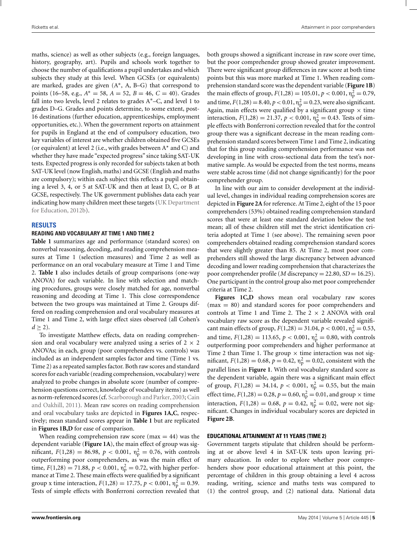maths, science) as well as other subjects (e.g., foreign languages, history, geography, art). Pupils and schools work together to choose the number of qualifications a pupil undertakes and which subjects they study at this level. When GCSEs (or equivalents) are marked, grades are given (A∗, A, B–G) that correspond to points (16–58, e.g.,  $A^* = 58$ ,  $A = 52$ ,  $B = 46$ ,  $C = 40$ ). Grades fall into two levels, level 2 relates to grades  $A<sup>*</sup>$ –C, and level 1 to grades D–G. Grades and points determine, to some extent, post-16 destinations (further education, apprenticeships, employment opportunities, etc.). When the government reports on attainment for pupils in England at the end of compulsory education, two key variables of interest are whether children obtained five GCSEs (or equivalent) at level 2 (i.e., with grades between A\* and C) and whether they have made "expected progress" since taking SAT-UK tests. Expected progress is only recorded for subjects taken at both SAT-UK level (now English, maths) and GCSE (English and maths are compulsory); within each subject this reflects a pupil obtaining a level 3, 4, or 5 at SAT-UK and then at least D, C, or B at GCSE, respectively. The UK government publishes data each year indicating ho[w](#page-11-0) [many](#page-11-0) [children](#page-11-0) [meet](#page-11-0) [these](#page-11-0) [targets](#page-11-0) [\(](#page-11-0)UK Department for Education, [2012b\)](#page-11-0).

#### **RESULTS**

#### **READING AND VOCABULARY AT TIME 1 AND TIME 2**

**[Table 1](#page-4-0)** summarizes age and performance (standard scores) on nonverbal reasoning, decoding, and reading comprehension measures at Time 1 (selection measures) and Time 2 as well as performance on an oral vocabulary measure at Time 1 and Time 2. **[Table 1](#page-4-0)** also includes details of group comparisons (one-way ANOVA) for each variable. In line with selection and matching procedures, groups were closely matched for age, nonverbal reasoning and decoding at Time 1. This close correspondence between the two groups was maintained at Time 2. Groups differed on reading comprehension and oral vocabulary measures at Time 1 and Time 2, with large effect sizes observed (all Cohen's  $d > 2$ ).

To investigate Matthew effects, data on reading comprehension and oral vocabulary were analyzed using a series of  $2 \times 2$ ANOVAs; in each, group (poor comprehenders vs. controls) was included as an independent samples factor and time (Time 1 vs. Time 2) as a repeated samples factor. Both raw scores and standard scores for each variable (reading comprehension, vocabulary) were analyzed to probe changes in absolute score (number of comprehension questions correct, knowledge of vocabulary items) as well as norm-referenced scores (cf. Scarborough and Parker, 2003[;](#page-10-0) Cain and Oakhill, [2011\)](#page-10-0). Mean raw scores on reading comprehension and oral vocabulary tasks are depicted in **[Figures 1A,C](#page-6-0)**, respectively; mean standard scores appear in **[Table 1](#page-4-0)** but are replicated in **[Figures 1B,D](#page-6-0)** for ease of comparison.

When reading comprehension raw score (max  $= 44$ ) was the dependent variable (**[Figure 1A](#page-6-0)**), the main effect of group was significant,  $F(1,28) = 86.98$ ,  $p < 0.001$ ,  $\eta_p^2 = 0.76$ , with controls outperforming poor comprehenders, as was the main effect of time,  $F(1,28) = 71.88$ ,  $p < 0.001$ ,  $\eta_p^2 = 0.72$ , with higher performance at Time 2. These main effects were qualified by a significant group x time interaction,  $F(1,28) = 17.75$ ,  $p < 0.001$ ,  $\eta_p^2 = 0.39$ . Tests of simple effects with Bonferroni correction revealed that both groups showed a significant increase in raw score over time, but the poor comprehender group showed greater improvement. There were significant group differences in raw score at both time points but this was more marked at Time 1. When reading comprehension standard score was the dependent variable (**[Figure 1B](#page-6-0)**) the main effects of group,  $F(1,28) = 105.01$ ,  $p < 0.001$ ,  $\eta_p^2 = 0.79$ , and time,  $F(1,28) = 8.40, p < 0.01, \eta_p^2 = 0.23$ , were also significant. Again, main effects were qualified by a significant group  $\times$  time interaction,  $F(1,28) = 21.37$ ,  $p < 0.001$ ,  $\eta_p^2 = 0.43$ . Tests of simple effects with Bonferroni correction revealed that for the control group there was a significant decrease in the mean reading comprehension standard scores between Time 1 and Time 2, indicating that for this group reading comprehension performance was not developing in line with cross-sectional data from the test's normative sample. As would be expected from the test norms, means were stable across time (did not change significantly) for the poor comprehender group.

In line with our aim to consider development at the individual level, changes in individual reading comprehension scores are depicted in **[Figure 2A](#page-7-0)** for reference. At Time 2, eight of the 15 poor comprehenders (53%) obtained reading comprehension standard scores that were at least one standard deviation below the test mean; all of these children still met the strict identification criteria adopted at Time 1 (see above). The remaining seven poor comprehenders obtained reading comprehension standard scores that were slightly greater than 85. At Time 2, most poor comprehenders still showed the large discrepancy between advanced decoding and lower reading comprehension that characterizes the poor comprehender profile (*M* discrepancy = 22.80, *SD* = 16.25). One participant in the control group also met poor comprehender criteria at Time 2.

[Figures 1C,D](#page-6-0) shows mean oral vocabulary raw scores  $(max = 80)$  and standard scores for poor comprehenders and controls at Time 1 and Time 2. The  $2 \times 2$  ANOVA with oral vocabulary raw score as the dependent variable revealed significant main effects of group,  $F(1,28) = 31.04$ ,  $p < 0.001$ ,  $\eta_p^2 = 0.53$ , and time,  $F(1,28) = 113.65$ ,  $p < 0.001$ ,  $n_p^2 = 0.80$ , with controls outperforming poor comprehenders and higher performance at Time 2 than Time 1. The group  $\times$  time interaction was not significant,  $F(1,28) = 0.68$ ,  $p = 0.42$ ,  $\eta_p^2 = 0.02$ , consistent with the parallel lines in **[Figure 1](#page-6-0)**. With oral vocabulary standard score as the dependent variable, again there was a significant main effect of group,  $F(1,28) = 34.14$ ,  $p < 0.001$ ,  $\eta_p^2 = 0.55$ , but the main effect time,  $F(1,28) = 0.28$ ,  $p = 0.60$ ,  $\eta_p^2 = 0.01$ , and group  $\times$  time interaction,  $F(1,28) = 0.68$ ,  $p = 0.42$ ,  $\eta_p^2 = 0.02$ , were not significant. Changes in individual vocabulary scores are depicted in **[Figure 2B](#page-7-0)**.

#### **EDUCATIONAL ATTAINMENT AT 11 YEARS (TIME 2)**

Government targets stipulate that children should be performing at or above level 4 in SAT-UK tests upon leaving primary education. In order to explore whether poor comprehenders show poor educational attainment at this point, the percentage of children in this group obtaining a level 4 across reading, writing, science and maths tests was compared to (1) the control group, and (2) national data. National data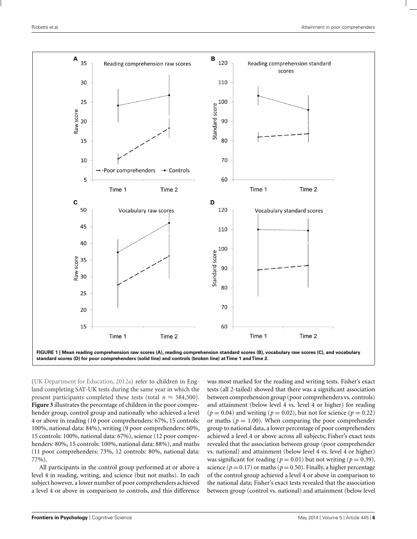<span id="page-6-0"></span>

**standard scores (D) for poor comprehenders (solid line) and controls (broken line) at Time 1 and Time 2.**

[\(UK Department for Education, 2012a](#page-11-0)) refer to children in England completing SAT-UK tests during the same year in which the present participants completed these tests (total  $n \approx 584,500$ ). **[Figure 3](#page-8-0)** illustrates the percentage of children in the poor comprehender group, control group and nationally who achieved a level 4 or above in reading (10 poor comprehenders: 67%, 15 controls: 100%, national data: 84%), writing (9 poor comprehenders: 60%, 15 controls: 100%, national data: 67%), science (12 poor comprehenders: 80%, 15 controls: 100%, national data: 88%), and maths (11 poor comprehenders: 73%, 12 controls: 80%, national data: 77%).

All participants in the control group performed at or above a level 4 in reading, writing, and science (but not maths). In each subject however, a lower number of poor comprehenders achieved a level 4 or above in comparison to controls, and this difference was most marked for the reading and writing tests. Fisher's exact tests (all 2-tailed) showed that there was a significant association between comprehension group (poor comprehenders vs. controls) and attainment (below level 4 vs. level 4 or higher) for reading  $(p = 0.04)$  and writing ( $p = 0.02$ ), but not for science ( $p = 0.22$ ) or maths ( $p = 1.00$ ). When comparing the poor comprehender group to national data, a lower percentage of poor comprehenders achieved a level 4 or above across all subjects; Fisher's exact tests revealed that the association between group (poor comprehender vs. national) and attainment (below level 4 vs. level 4 or higher) was significant for reading ( $p = 0.01$ ) but not writing ( $p = 0.39$ ), science ( $p = 0.17$ ) or maths ( $p = 0.50$ ). Finally, a higher percentage of the control group achieved a level 4 or above in comparison to the national data; Fisher's exact tests revealed that the association between group (control vs. national) and attainment (below level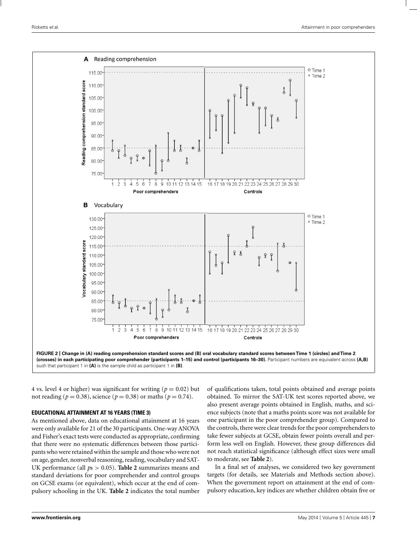<span id="page-7-0"></span>

4 vs. level 4 or higher) was significant for writing ( $p = 0.02$ ) but not reading ( $p = 0.38$ ), science ( $p = 0.38$ ) or maths ( $p = 0.74$ ).

#### **EDUCATIONAL ATTAINMENT AT 16 YEARS (TIME 3)**

As mentioned above, data on educational attainment at 16 years were only available for 21 of the 30 participants. One-way ANOVA and Fisher's exact tests were conducted as appropriate, confirming that there were no systematic differences between those participants who were retained within the sample and those who were not on age, gender, nonverbal reasoning, reading, vocabulary and SAT-UK performance (all *p*s > 0.05). **[Table 2](#page-8-0)** summarizes means and standard deviations for poor comprehender and control groups on GCSE exams (or equivalent), which occur at the end of compulsory schooling in the UK. **[Table 2](#page-8-0)** indicates the total number

of qualifications taken, total points obtained and average points obtained. To mirror the SAT-UK test scores reported above, we also present average points obtained in English, maths, and science subjects (note that a maths points score was not available for one participant in the poor comprehender group). Compared to the controls, there were clear trends for the poor comprehenders to take fewer subjects at GCSE, obtain fewer points overall and perform less well on English. However, these group differences did not reach statistical significance (although effect sizes were small to moderate, see **[Table 2](#page-8-0)**).

In a final set of analyses, we considered two key government targets (for details, see Materials and Methods section above). When the government report on attainment at the end of compulsory education, key indices are whether children obtain five or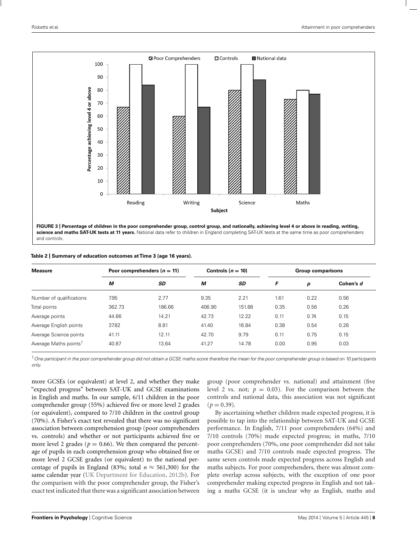<span id="page-8-0"></span>

and controls.

**Table 2 | Summary of education outcomes at Time 3 (age 16 years).**

| <b>Measure</b>                    | Poor comprehenders $(n = 11)$ |           | Controls $(n = 10)$ |        | <b>Group comparisons</b> |      |           |
|-----------------------------------|-------------------------------|-----------|---------------------|--------|--------------------------|------|-----------|
|                                   | М                             | <b>SD</b> | M                   | SD     | F                        | p    | Cohen's d |
| Number of qualifications          | 7.95                          | 2.77      | 9.35                | 2.21   | 1.61                     | 0.22 | 0.56      |
| Total points                      | 362.73                        | 186.66    | 406.90              | 151.88 | 0.35                     | 0.56 | 0.26      |
| Average points                    | 44.66                         | 14.21     | 42.73               | 12.22  | 0.11                     | 0.74 | 0.15      |
| Average English points            | 37.82                         | 8.81      | 41.40               | 16.84  | 0.38                     | 0.54 | 0.28      |
| Average Science points            | 41.11                         | 12.11     | 42.70               | 9.79   | 0.11                     | 0.75 | 0.15      |
| Average Maths points <sup>1</sup> | 40.87                         | 13.64     | 41.27               | 14.78  | 0.00                     | 0.95 | 0.03      |

 $^1$  One participant in the poor comprehender group did not obtain a GCSE maths score therefore the mean for the poor comprehender group is based on 10 participants only.

more GCSEs (or equivalent) at level 2, and whether they make "expected progress" between SAT-UK and GCSE examinations in English and maths. In our sample, 6/11 children in the poor comprehender group (55%) achieved five or more level 2 grades (or equivalent), compared to 7/10 children in the control group (70%). A Fisher's exact test revealed that there was no significant association between comprehension group (poor comprehenders vs. controls) and whether or not participants achieved five or more level 2 grades ( $p = 0.66$ ). We then compared the percentage of pupils in each comprehension group who obtained five or more level 2 GCSE grades (or equivalent) to the national percentage of pupils in England (83%; total  $n \approx 561,300$ ) for the same calendar year [\(UK Department for Education](#page-11-0), [2012b](#page-11-0)). For the comparison with the poor comprehender group, the Fisher's exact test indicated that there was a significant association between group (poor comprehender vs. national) and attainment (five level 2 vs. not;  $p = 0.03$ ). For the comparison between the controls and national data, this association was not significant  $(p = 0.39)$ .

By ascertaining whether children made expected progress, it is possible to tap into the relationship between SAT-UK and GCSE performance. In English, 7/11 poor comprehenders (64%) and 7/10 controls (70%) made expected progress; in maths, 7/10 poor comprehenders (70%, one poor comprehender did not take maths GCSE) and 7/10 controls made expected progress. The same seven controls made expected progress across English and maths subjects. For poor comprehenders, there was almost complete overlap across subjects, with the exception of one poor comprehender making expected progress in English and not taking a maths GCSE (it is unclear why as English, maths and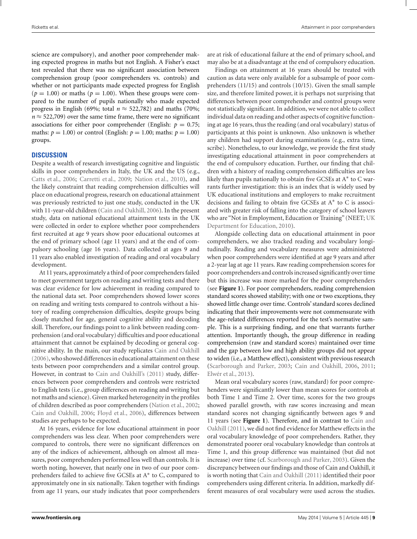science are compulsory), and another poor comprehender making expected progress in maths but not English. A Fisher's exact test revealed that there was no significant association between comprehension group (poor comprehenders vs. controls) and whether or not participants made expected progress for English  $(p = 1.00)$  or maths  $(p = 1.00)$ . When these groups were compared to the number of pupils nationally who made expected progress in English (69%; total  $n \approx 522,782$ ) and maths (70%;  $n \approx 522,709$  over the same time frame, there were no significant associations for either poor comprehender (English:  $p = 0.75$ ; maths:  $p = 1.00$ ) or control (English:  $p = 1.00$ ; maths:  $p = 1.00$ ) groups.

#### **DISCUSSION**

Despite a wealth of research investigating cognitive and linguistic skills in poor comprehenders in Italy, the UK and the US (e.g., [Catts et al., 2006;](#page-10-0) [Carretti et al., 2009](#page-10-0); [Nation et al.](#page-11-0), [2010\)](#page-11-0), and the likely constraint that reading comprehension difficulties will place on educational progress, research on educational attainment was previously restricted to just one study, conducted in the UK with 11-year-old children [\(Cain and Oakhill, 2006\)](#page-10-0). In the present study, data on national educational attainment tests in the UK were collected in order to explore whether poor comprehenders first recruited at age 9 years show poor educational outcomes at the end of primary school (age 11 years) and at the end of compulsory schooling (age 16 years). Data collected at ages 9 and 11 years also enabled investigation of reading and oral vocabulary development.

At 11 years, approximately a third of poor comprehenders failed to meet government targets on reading and writing tests and there was clear evidence for low achievement in reading compared to the national data set. Poor comprehenders showed lower scores on reading and writing tests compared to controls without a history of reading comprehension difficulties, despite groups being closely matched for age, general cognitive ability and decoding skill. Therefore, our findings point to a link between reading comprehension (and oral vocabulary) difficulties and poor educational attainment that cannot be explained by decoding or general cognitive ability. In the main, our study replicates [Cain and Oakhill](#page-10-0) [\(2006](#page-10-0)), who showed differences in educational attainment on these tests between poor comprehenders and a similar control group. However, in contrast to [Cain and Oakhill](#page-10-0)'s [\(2011](#page-10-0)) study, differences between poor comprehenders and controls were restricted to English tests (i.e., group differences on reading and writing but not maths and science). Given marked heterogeneity in the profiles of children described as poor comprehenders [\(Nation et al.](#page-11-0), [2002;](#page-11-0) [Cain and Oakhill, 2006;](#page-10-0) [Floyd et al., 2006](#page-10-0)), differences between studies are perhaps to be expected.

At 16 years, evidence for low educational attainment in poor comprehenders was less clear. When poor comprehenders were compared to controls, there were no significant differences on any of the indices of achievement, although on almost all measures, poor comprehenders performed less well than controls. It is worth noting, however, that nearly one in two of our poor comprehenders failed to achieve five GCSEs at A∗ to C, compared to approximately one in six nationally. Taken together with findings from age 11 years, our study indicates that poor comprehenders are at risk of educational failure at the end of primary school, and may also be at a disadvantage at the end of compulsory education.

Findings on attainment at 16 years should be treated with caution as data were only available for a subsample of poor comprehenders (11/15) and controls (10/15). Given the small sample size, and therefore limited power, it is perhaps not surprising that differences between poor comprehender and control groups were not statistically significant. In addition, we were not able to collect individual data on reading and other aspects of cognitive functioning at age 16 years, thus the reading (and oral vocabulary) status of participants at this point is unknown. Also unknown is whether any children had support during examinations (e.g., extra time, scribe). Nonetheless, to our knowledge, we provide the first study investigating educational attainment in poor comprehenders at the end of compulsory education. Further, our finding that children with a history of reading comprehension difficulties are less likely than pupils nationally to obtain five GCSEs at  $A^*$  to C warrants further investigation: this is an index that is widely used by UK educational institutions and employers to make recruitment decisions and failing to obtain five GCSEs at A∗ to C is associated with greater risk of falling into the category of school leavers who are "Not in Employment, Education or Training" (NEET; UK Department for Education, [2010](#page-11-0)).

Alongside collecting data on educational attainment in poor comprehenders, we also tracked reading and vocabulary longitudinally. Reading and vocabulary measures were administered when poor comprehenders were identified at age 9 years and after a 2-year lag at age 11 years. Raw reading comprehension scores for poor comprehenders and controls increased significantly over time but this increase was more marked for the poor comprehenders (see **[Figure 1](#page-6-0)**). For poor comprehenders, reading comprehension standard scores showed stability; with one or two exceptions, they showed little change over time. Controls' standard scores declined indicating that their improvements were not commensurate with the age-related differences reported for the test's normative sample. This is a surprising finding, and one that warrants further attention. Importantly though, the group difference in reading comprehension (raw and standard scores) maintained over time and the gap between low and high ability groups did not appear to widen (i.e., a Matthew effect), consistent with previous research [\(Scarborough and Parker, 2003;](#page-11-0) [Cain and Oakhill](#page-10-0), [2006,](#page-10-0) [2011;](#page-10-0) [Elwér et al.](#page-10-0), [2013](#page-10-0)).

Mean oral vocabulary scores (raw, standard) for poor comprehenders were significantly lower than mean scores for controls at both Time 1 and Time 2. Over time, scores for the two groups showed parallel growth, with raw scores increasing and mean standard scores not changing significantly between ages 9 and 11 years (see **[Figure 1](#page-6-0)**[\). Therefore, and in contrast to](#page-10-0) Cain and Oakhill [\(2011\)](#page-10-0), we did not find evidence for Matthew effects in the oral vocabulary knowledge of poor comprehenders. Rather, they demonstrated poorer oral vocabulary knowledge than controls at Time 1, and this group difference was maintained (but did not increase) over time (cf. [Scarborough and Parker](#page-11-0), [2003\)](#page-11-0). Given the discrepancy between our findings and those of Cain and Oakhill, it is worth noting that [Cain and Oakhill](#page-10-0) [\(2011](#page-10-0)) identified their poor comprehenders using different criteria. In addition, markedly different measures of oral vocabulary were used across the studies.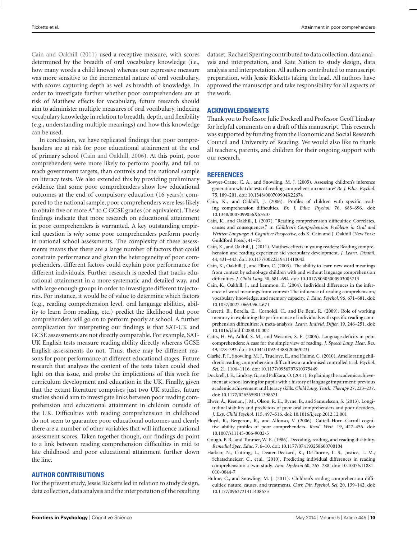<span id="page-10-0"></span>Cain and Oakhill (2011) used a receptive measure, with scores determined by the breadth of oral vocabulary knowledge (i.e., how many words a child knows) whereas our expressive measure was more sensitive to the incremental nature of oral vocabulary, with scores capturing depth as well as breadth of knowledge. In order to investigate further whether poor comprehenders are at risk of Matthew effects for vocabulary, future research should aim to administer multiple measures of oral vocabulary, indexing vocabulary knowledge in relation to breadth, depth, and flexibility (e.g., understanding multiple meanings) and how this knowledge can be used.

In conclusion, we have replicated findings that poor comprehenders are at risk for poor educational attainment at the end of primary school (Cain and Oakhill, 2006). At this point, poor comprehenders were more likely to perform poorly, and fail to reach government targets, than controls and the national sample on literacy tests. We also extended this by providing preliminary evidence that some poor comprehenders show low educational outcomes at the end of compulsory education (16 years); compared to the national sample, poor comprehenders were less likely to obtain five or more A∗ to C GCSE grades (or equivalent). These findings indicate that more research on educational attainment in poor comprehenders is warranted. A key outstanding empirical question is *why* some poor comprehenders perform poorly in national school assessments. The complexity of these assessments means that there are a large number of factors that could constrain performance and given the heterogeneity of poor comprehenders, different factors could explain poor performance for different individuals. Further research is needed that tracks educational attainment in a more systematic and detailed way, and with large enough groups in order to investigate different trajectories. For instance, it would be of value to determine which factors (e.g., reading comprehension level, oral language abilities, ability to learn from reading, etc.) predict the likelihood that poor comprehenders will go on to perform poorly at school. A further complication for interpreting our findings is that SAT-UK and GCSE assessments are not directly comparable. For example, SAT-UK English tests measure reading ability directly whereas GCSE English assessments do not. Thus, there may be different reasons for poor performance at different educational stages. Future research that analyses the content of the tests taken could shed light on this issue, and probe the implications of this work for curriculum development and education in the UK. Finally, given that the extant literature comprises just two UK studies, future studies should aim to investigate links between poor reading comprehension and educational attainment in children outside of the UK. Difficulties with reading comprehension in childhood do not seem to guarantee poor educational outcomes and clearly there are a number of other variables that will influence national assessment scores. Taken together though, our findings do point to a link between reading comprehension difficulties in mid to late childhood and poor educational attainment further down the line.

#### **AUTHOR CONTRIBUTIONS**

For the present study, Jessie Ricketts led in relation to study design, data collection, data analysis and the interpretation of the resulting dataset. Rachael Sperring contributed to data collection, data analysis and interpretation, and Kate Nation to study design, data analysis and interpretation. All authors contributed to manuscript preparation, with Jessie Ricketts taking the lead. All authors have approved the manuscript and take responsibility for all aspects of the work.

#### **ACKNOWLEDGMENTS**

Thank you to Professor Julie Dockrell and Professor Geoff Lindsay for helpful comments on a draft of this manuscript. This research was supported by funding from the Economic and Social Research Council and University of Reading. We would also like to thank all teachers, parents, and children for their ongoing support with our research.

#### **REFERENCES**

- Bowyer-Crane, C. A., and Snowling, M. J. (2005). Assessing children's inference generation: what do tests of reading comprehension measure? *Br. J. Educ. Psychol.* 75, 189–201. doi: 10.1348/000709904X22674
- Cain, K., and Oakhill, J. (2006). Profiles of children with specific reading comprehension difficulties. *Br. J. Educ. Psychol.* 76, 683–696. doi: 10.1348/0007099056X67610
- Cain, K., and Oakhill, J. (2007). "Reading comprehension difficulties: Correlates, causes and consequences," in *Children's Comprehension Problems in Oral and Written Language: A Cognitive Perspective*, eds K. Cain and J. Oakhill (New York: Guildford Press), 41–75.
- Cain, K., and Oakhill, J. (2011). Matthew effects in young readers: Reading comprehension and reading experience aid vocabulary development. *J. Learn. Disabil.* 44, 431–443. doi: 10.1177/0022219411410042
- Cain, K., Oakhill, J., and Elbro, C. (2003). The ability to learn new word meanings from context by school-age children with and without language comprehension difficulties. *J. Child Lang.* 30, 681–694. doi: 10.1017/S0305000903005713
- Cain, K., Oakhill, J., and Lemmon, K. (2004). Individual differences in the inference of word meanings from context: The influence of reading comprehension, vocabulary knowledge, and memory capacity. *J. Educ. Psychol.* 96, 671–681. doi: 10.1037/0022-0663.96.4.671
- Carretti, B., Borella, E., Cornoldi, C., and De Beni, R. (2009). Role of working memory in explaining the performance of individuals with specific reading comprehension difficulties: A meta-analysis. *Learn. Individ. Differ.* 19, 246–251. doi: 10.1016/j.lindif.2008.10.002
- Catts, H. W., Adlof, S. M., and Weismer, S. E. (2006). Language deficits in poor comprehenders: A case for the simple view of reading. *J. Speech Lang. Hear. Res.* 49, 278–293. doi: 10.1044/1092-4388(2006/023)
- Clarke, P. J., Snowling, M. J., Truelove, E., and Hulme, C. (2010). Ameliorating children's reading comprehension difficulties: a randomised controlled trial. *Psychol. Sci.* 21, 1106–1116. doi: 10.1177/0956797610375449
- Dockrell, J. E., Lindsay, G., and Palikara, O. (2011). Explaining the academic achievement at school leaving for pupils with a history of language impairment: previous academic achievement and literacy skills. *Child Lang. Teach. Therapy* 27, 223–237. doi: 10.1177/0265659011398671
- Elwér, Å., Keenan, J. M., Olson, R. K., Byrne, B., and Samuelsson, S. (2013). Longitudinal stability and predictors of poor oral comprehenders and poor decoders. *J. Exp. Child Psychol.* 115, 497–516. doi: 10.1016/j.jecp.2012.12.001
- Floyd, R., Bergeron, R., and Alfonso, V. (2006). Cattell–Horn–Carroll cognitive ability profiles of poor comprehenders. *Read. Writ.* 19, 427–456. doi: 10.1007/s11145-006-9002-5
- Gough, P. B., and Tunmer, W. E. (1986). Decoding, reading, and reading disability. *Remedial Spec. Educ.* 7, 6–10. doi: 10.1177/074193258600700104
- Harlaar, N., Cutting, L., Deater-Deckard, K., DeThorne, L. S., Justice, L. M., Schatschneider, C., et al. (2010). Predicting individual differences in reading comprehension: a twin study. *Ann. Dyslexia* 60, 265–288. doi: 10.1007/s11881- 010-0044-7
- Hulme, C., and Snowling, M. J. (2011). Children's reading comprehension difficulties: nature, causes, and treatments. *Curr. Dir. Psychol. Sci.* 20, 139–142. doi: 10.1177/0963721411408673